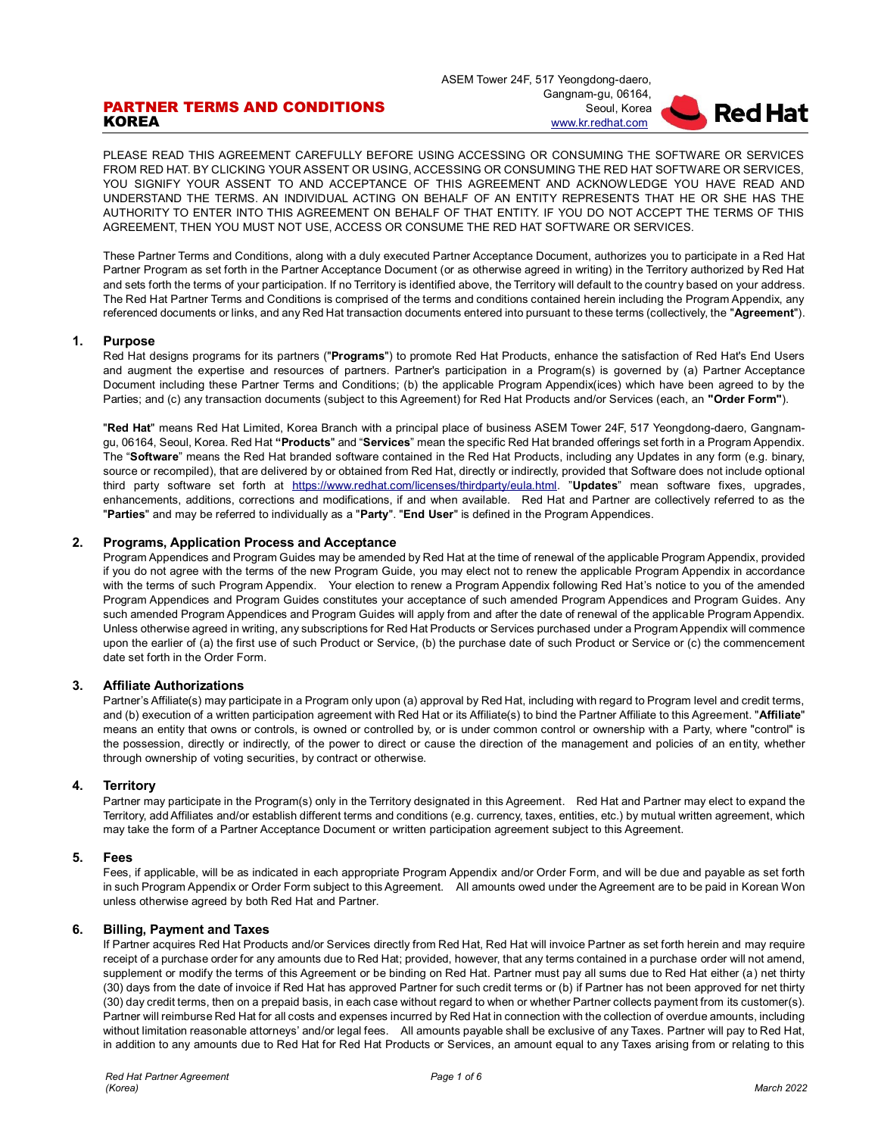# PARTNER TERMS AND CONDITIONS **KOREA**

ASEM Tower 24F, 517 Yeongdong-daero, Gangnam-gu, 06164, Seoul, Korea [www.kr.redhat.com](http://www.redhat.com/)



PLEASE READ THIS AGREEMENT CAREFULLY BEFORE USING ACCESSING OR CONSUMING THE SOFTWARE OR SERVICES FROM RED HAT. BY CLICKING YOUR ASSENT OR USING, ACCESSING OR CONSUMING THE RED HAT SOFTWARE OR SERVICES, YOU SIGNIFY YOUR ASSENT TO AND ACCEPTANCE OF THIS AGREEMENT AND ACKNOWLEDGE YOU HAVE READ AND UNDERSTAND THE TERMS. AN INDIVIDUAL ACTING ON BEHALF OF AN ENTITY REPRESENTS THAT HE OR SHE HAS THE AUTHORITY TO ENTER INTO THIS AGREEMENT ON BEHALF OF THAT ENTITY. IF YOU DO NOT ACCEPT THE TERMS OF THIS AGREEMENT, THEN YOU MUST NOT USE, ACCESS OR CONSUME THE RED HAT SOFTWARE OR SERVICES.

These Partner Terms and Conditions, along with a duly executed Partner Acceptance Document, authorizes you to participate in a Red Hat Partner Program as set forth in the Partner Acceptance Document (or as otherwise agreed in writing) in the Territory authorized by Red Hat and sets forth the terms of your participation. If no Territory is identified above, the Territory will default to the country based on your address. The Red Hat Partner Terms and Conditions is comprised of the terms and conditions contained herein including the Program Appendix, any referenced documents or links, and any Red Hat transaction documents entered into pursuant to these terms (collectively, the "**Agreement**").

## **1. Purpose**

Red Hat designs programs for its partners ("**Programs**") to promote Red Hat Products, enhance the satisfaction of Red Hat's End Users and augment the expertise and resources of partners. Partner's participation in a Program(s) is governed by (a) Partner Acceptance Document including these Partner Terms and Conditions; (b) the applicable Program Appendix(ices) which have been agreed to by the Parties; and (c) any transaction documents (subject to this Agreement) for Red Hat Products and/or Services (each, an **"Order Form"**).

"**Red Hat**" means Red Hat Limited, Korea Branch with a principal place of business ASEM Tower 24F, 517 Yeongdong-daero, Gangnamgu, 06164, Seoul, Korea. Red Hat **"Products**" and "**Services**" mean the specific Red Hat branded offerings set forth in a Program Appendix. The "**Software**" means the Red Hat branded software contained in the Red Hat Products, including any Updates in any form (e.g. binary, source or recompiled), that are delivered by or obtained from Red Hat, directly or indirectly, provided that Software does not include optional third party software set forth at [https://www.redhat.com/licenses/thirdparty/eula.html.](https://www.redhat.com/licenses/thirdparty/eula.html) "**Updates**" mean software fixes, upgrades, enhancements, additions, corrections and modifications, if and when available. Red Hat and Partner are collectively referred to as the "**Parties**" and may be referred to individually as a "**Party**". "**End User**" is defined in the Program Appendices.

# **2. Programs, Application Process and Acceptance**

Program Appendices and Program Guides may be amended by Red Hat at the time of renewal of the applicable Program Appendix, provided if you do not agree with the terms of the new Program Guide, you may elect not to renew the applicable Program Appendix in accordance with the terms of such Program Appendix. Your election to renew a Program Appendix following Red Hat's notice to you of the amended Program Appendices and Program Guides constitutes your acceptance of such amended Program Appendices and Program Guides. Any such amended Program Appendices and Program Guides will apply from and after the date of renewal of the applicable Program Appendix. Unless otherwise agreed in writing, any subscriptions for Red Hat Products or Services purchased under a Program Appendix will commence upon the earlier of (a) the first use of such Product or Service, (b) the purchase date of such Product or Service or (c) the commencement date set forth in the Order Form.

## **3. Affiliate Authorizations**

Partner's Affiliate(s) may participate in a Program only upon (a) approval by Red Hat, including with regard to Program level and credit terms, and (b) execution of a written participation agreement with Red Hat or its Affiliate(s) to bind the Partner Affiliate to this Agreement. "**Affiliate**" means an entity that owns or controls, is owned or controlled by, or is under common control or ownership with a Party, where "control" is the possession, directly or indirectly, of the power to direct or cause the direction of the management and policies of an entity, whether through ownership of voting securities, by contract or otherwise.

## **4. Territory**

Partner may participate in the Program(s) only in the Territory designated in this Agreement. Red Hat and Partner may elect to expand the Territory, add Affiliates and/or establish different terms and conditions (e.g. currency, taxes, entities, etc.) by mutual written agreement, which may take the form of a Partner Acceptance Document or written participation agreement subject to this Agreement.

## **5. Fees**

Fees, if applicable, will be as indicated in each appropriate Program Appendix and/or Order Form, and will be due and payable as set forth in such Program Appendix or Order Form subject to this Agreement. All amounts owed under the Agreement are to be paid in Korean Won unless otherwise agreed by both Red Hat and Partner.

# **6. Billing, Payment and Taxes**

If Partner acquires Red Hat Products and/or Services directly from Red Hat, Red Hat will invoice Partner as set forth herein and may require receipt of a purchase order for any amounts due to Red Hat; provided, however, that any terms contained in a purchase order will not amend, supplement or modify the terms of this Agreement or be binding on Red Hat. Partner must pay all sums due to Red Hat either (a) net thirty (30) days from the date of invoice if Red Hat has approved Partner for such credit terms or (b) if Partner has not been approved for net thirty (30) day credit terms, then on a prepaid basis, in each case without regard to when or whether Partner collects payment from its customer(s). Partner will reimburse Red Hat for all costs and expenses incurred by Red Hat in connection with the collection of overdue amounts, including without limitation reasonable attorneys' and/or legal fees. All amounts payable shall be exclusive of any Taxes. Partner will pay to Red Hat, in addition to any amounts due to Red Hat for Red Hat Products or Services, an amount equal to any Taxes arising from or relating to this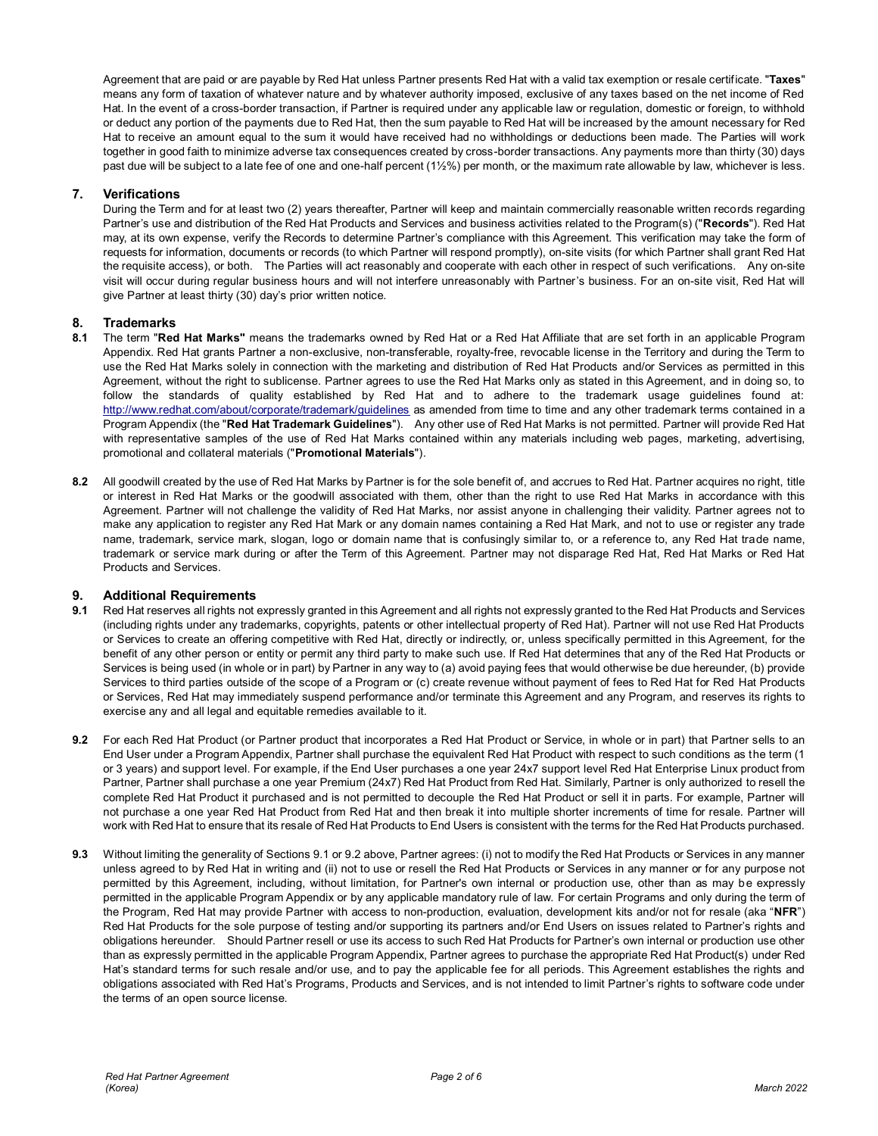Agreement that are paid or are payable by Red Hat unless Partner presents Red Hat with a valid tax exemption or resale certificate. "**Taxes**" means any form of taxation of whatever nature and by whatever authority imposed, exclusive of any taxes based on the net income of Red Hat. In the event of a cross-border transaction, if Partner is required under any applicable law or regulation, domestic or foreign, to withhold or deduct any portion of the payments due to Red Hat, then the sum payable to Red Hat will be increased by the amount necessary for Red Hat to receive an amount equal to the sum it would have received had no withholdings or deductions been made. The Parties will work together in good faith to minimize adverse tax consequences created by cross-border transactions. Any payments more than thirty (30) days past due will be subject to a late fee of one and one-half percent (1½%) per month, or the maximum rate allowable by law, whichever is less.

# **7. Verifications**

During the Term and for at least two (2) years thereafter. Partner will keep and maintain commercially reasonable written records regarding Partner's use and distribution of the Red Hat Products and Services and business activities related to the Program(s) ("**Records**"). Red Hat may, at its own expense, verify the Records to determine Partner's compliance with this Agreement. This verification may take the form of requests for information, documents or records (to which Partner will respond promptly), on-site visits (for which Partner shall grant Red Hat the requisite access), or both. The Parties will act reasonably and cooperate with each other in respect of such verifications. Any on-site visit will occur during regular business hours and will not interfere unreasonably with Partner's business. For an on-site visit, Red Hat will give Partner at least thirty (30) day's prior written notice.

# **8. Trademarks**

- **8.1** The term "**Red Hat Marks"** means the trademarks owned by Red Hat or a Red Hat Affiliate that are set forth in an applicable Program Appendix. Red Hat grants Partner a non-exclusive, non-transferable, royalty-free, revocable license in the Territory and during the Term to use the Red Hat Marks solely in connection with the marketing and distribution of Red Hat Products and/or Services as permitted in this Agreement, without the right to sublicense. Partner agrees to use the Red Hat Marks only as stated in this Agreement, and in doing so, to follow the standards of quality established by Red Hat and to adhere to the trademark usage guidelines found at: <http://www.redhat.com/about/corporate/trademark/guidelines> as amended from time to time and any other trademark terms contained in a Program Appendix (the "**Red Hat Trademark Guidelines**"). Any other use of Red Hat Marks is not permitted. Partner will provide Red Hat with representative samples of the use of Red Hat Marks contained within any materials including web pages, marketing, advertising, promotional and collateral materials ("**Promotional Materials**").
- **8.2** All goodwill created by the use of Red Hat Marks by Partner is for the sole benefit of, and accrues to Red Hat. Partner acquires no right, title or interest in Red Hat Marks or the goodwill associated with them, other than the right to use Red Hat Marks in accordance with this Agreement. Partner will not challenge the validity of Red Hat Marks, nor assist anyone in challenging their validity. Partner agrees not to make any application to register any Red Hat Mark or any domain names containing a Red Hat Mark, and not to use or register any trade name, trademark, service mark, slogan, logo or domain name that is confusingly similar to, or a reference to, any Red Hat trade name, trademark or service mark during or after the Term of this Agreement. Partner may not disparage Red Hat, Red Hat Marks or Red Hat Products and Services.

## **9. Additional Requirements**

- **9.1** Red Hat reserves all rights not expressly granted in this Agreement and all rights not expressly granted to the Red Hat Products and Services (including rights under any trademarks, copyrights, patents or other intellectual property of Red Hat). Partner will not use Red Hat Products or Services to create an offering competitive with Red Hat, directly or indirectly, or, unless specifically permitted in this Agreement, for the benefit of any other person or entity or permit any third party to make such use. If Red Hat determines that any of the Red Hat Products or Services is being used (in whole or in part) by Partner in any way to (a) avoid paying fees that would otherwise be due hereunder, (b) provide Services to third parties outside of the scope of a Program or (c) create revenue without payment of fees to Red Hat for Red Hat Products or Services, Red Hat may immediately suspend performance and/or terminate this Agreement and any Program, and reserves its rights to exercise any and all legal and equitable remedies available to it.
- **9.2** For each Red Hat Product (or Partner product that incorporates a Red Hat Product or Service, in whole or in part) that Partner sells to an End User under a Program Appendix, Partner shall purchase the equivalent Red Hat Product with respect to such conditions as the term (1 or 3 years) and support level. For example, if the End User purchases a one year 24x7 support level Red Hat Enterprise Linux product from Partner, Partner shall purchase a one year Premium (24x7) Red Hat Product from Red Hat. Similarly, Partner is only authorized to resell the complete Red Hat Product it purchased and is not permitted to decouple the Red Hat Product or sell it in parts. For example, Partner will not purchase a one year Red Hat Product from Red Hat and then break it into multiple shorter increments of time for resale. Partner will work with Red Hat to ensure that its resale of Red Hat Products to End Users is consistent with the terms for the Red Hat Products purchased.
- **9.3** Without limiting the generality of Sections 9.1 or 9.2 above, Partner agrees: (i) not to modify the Red Hat Products or Services in any manner unless agreed to by Red Hat in writing and (ii) not to use or resell the Red Hat Products or Services in any manner or for any purpose not permitted by this Agreement, including, without limitation, for Partner's own internal or production use, other than as may be expressly permitted in the applicable Program Appendix or by any applicable mandatory rule of law. For certain Programs and only during the term of the Program, Red Hat may provide Partner with access to non-production, evaluation, development kits and/or not for resale (aka "**NFR**") Red Hat Products for the sole purpose of testing and/or supporting its partners and/or End Users on issues related to Partner's rights and obligations hereunder. Should Partner resell or use its access to such Red Hat Products for Partner's own internal or production use other than as expressly permitted in the applicable Program Appendix, Partner agrees to purchase the appropriate Red Hat Product(s) under Red Hat's standard terms for such resale and/or use, and to pay the applicable fee for all periods. This Agreement establishes the rights and obligations associated with Red Hat's Programs, Products and Services, and is not intended to limit Partner's rights to software code under the terms of an open source license.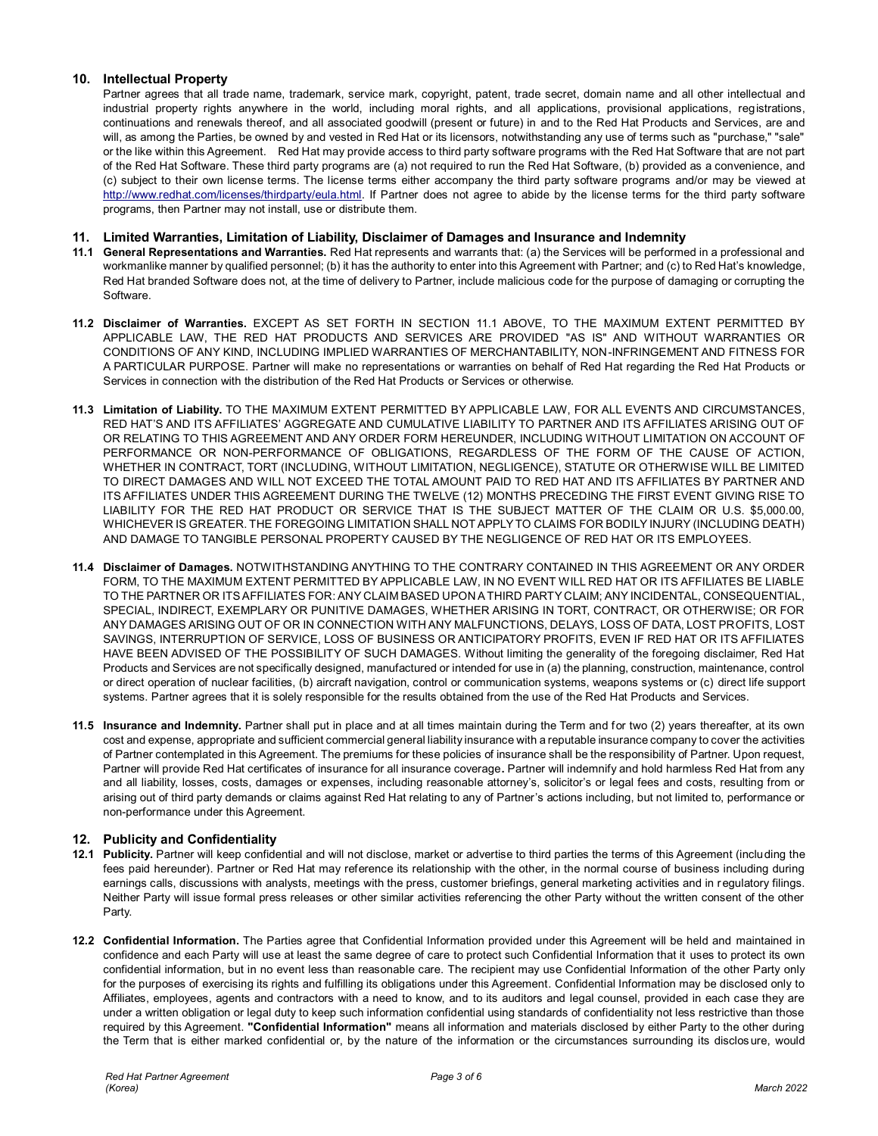# **10. Intellectual Property**

Partner agrees that all trade name, trademark, service mark, copyright, patent, trade secret, domain name and all other intellectual and industrial property rights anywhere in the world, including moral rights, and all applications, provisional applications, registrations, continuations and renewals thereof, and all associated goodwill (present or future) in and to the Red Hat Products and Services, are and will, as among the Parties, be owned by and vested in Red Hat or its licensors, notwithstanding any use of terms such as "purchase," "sale" or the like within this Agreement. Red Hat may provide access to third party software programs with the Red Hat Software that are not part of the Red Hat Software. These third party programs are (a) not required to run the Red Hat Software, (b) provided as a convenience, and (c) subject to their own license terms. The license terms either accompany the third party software programs and/or may be viewed at [http://www.redhat.com/licenses/thirdparty/eula.html.](http://www.redhat.com/licenses/thirdparty/eula.html) If Partner does not agree to abide by the license terms for the third party software programs, then Partner may not install, use or distribute them.

# **11. Limited Warranties, Limitation of Liability, Disclaimer of Damages and Insurance and Indemnity**

- **11.1 General Representations and Warranties.** Red Hat represents and warrants that: (a) the Services will be performed in a professional and workmanlike manner by qualified personnel; (b) it has the authority to enter into this Agreement with Partner; and (c) to Red Hat's knowledge, Red Hat branded Software does not, at the time of delivery to Partner, include malicious code for the purpose of damaging or corrupting the Software.
- **11.2 Disclaimer of Warranties.** EXCEPT AS SET FORTH IN SECTION 11.1 ABOVE, TO THE MAXIMUM EXTENT PERMITTED BY APPLICABLE LAW, THE RED HAT PRODUCTS AND SERVICES ARE PROVIDED "AS IS" AND WITHOUT WARRANTIES OR CONDITIONS OF ANY KIND, INCLUDING IMPLIED WARRANTIES OF MERCHANTABILITY, NON-INFRINGEMENT AND FITNESS FOR A PARTICULAR PURPOSE. Partner will make no representations or warranties on behalf of Red Hat regarding the Red Hat Products or Services in connection with the distribution of the Red Hat Products or Services or otherwise.
- **11.3 Limitation of Liability.** TO THE MAXIMUM EXTENT PERMITTED BY APPLICABLE LAW, FOR ALL EVENTS AND CIRCUMSTANCES, RED HAT'S AND ITS AFFILIATES' AGGREGATE AND CUMULATIVE LIABILITY TO PARTNER AND ITS AFFILIATES ARISING OUT OF OR RELATING TO THIS AGREEMENT AND ANY ORDER FORM HEREUNDER, INCLUDING WITHOUT LIMITATION ON ACCOUNT OF PERFORMANCE OR NON-PERFORMANCE OF OBLIGATIONS, REGARDLESS OF THE FORM OF THE CAUSE OF ACTION, WHETHER IN CONTRACT, TORT (INCLUDING, WITHOUT LIMITATION, NEGLIGENCE), STATUTE OR OTHERWISE WILL BE LIMITED TO DIRECT DAMAGES AND WILL NOT EXCEED THE TOTAL AMOUNT PAID TO RED HAT AND ITS AFFILIATES BY PARTNER AND ITS AFFILIATES UNDER THIS AGREEMENT DURING THE TWELVE (12) MONTHS PRECEDING THE FIRST EVENT GIVING RISE TO LIABILITY FOR THE RED HAT PRODUCT OR SERVICE THAT IS THE SUBJECT MATTER OF THE CLAIM OR U.S. \$5,000.00, WHICHEVER IS GREATER. THE FOREGOING LIMITATION SHALL NOT APPLY TO CLAIMS FOR BODILY INJURY (INCLUDING DEATH) AND DAMAGE TO TANGIBLE PERSONAL PROPERTY CAUSED BY THE NEGLIGENCE OF RED HAT OR ITS EMPLOYEES.
- **11.4 Disclaimer of Damages.** NOTWITHSTANDING ANYTHING TO THE CONTRARY CONTAINED IN THIS AGREEMENT OR ANY ORDER FORM, TO THE MAXIMUM EXTENT PERMITTED BY APPLICABLE LAW, IN NO EVENT WILL RED HAT OR ITS AFFILIATES BE LIABLE TO THE PARTNER OR ITS AFFILIATES FOR: ANY CLAIM BASED UPON A THIRD PARTY CLAIM; ANY INCIDENTAL, CONSEQUENTIAL, SPECIAL, INDIRECT, EXEMPLARY OR PUNITIVE DAMAGES, WHETHER ARISING IN TORT, CONTRACT, OR OTHERWISE; OR FOR ANY DAMAGES ARISING OUT OF OR IN CONNECTION WITH ANY MALFUNCTIONS, DELAYS, LOSS OF DATA, LOST PROFITS, LOST SAVINGS, INTERRUPTION OF SERVICE, LOSS OF BUSINESS OR ANTICIPATORY PROFITS, EVEN IF RED HAT OR ITS AFFILIATES HAVE BEEN ADVISED OF THE POSSIBILITY OF SUCH DAMAGES. Without limiting the generality of the foregoing disclaimer, Red Hat Products and Services are not specifically designed, manufactured or intended for use in (a) the planning, construction, maintenance, control or direct operation of nuclear facilities, (b) aircraft navigation, control or communication systems, weapons systems or (c) direct life support systems. Partner agrees that it is solely responsible for the results obtained from the use of the Red Hat Products and Services.
- **11.5 Insurance and Indemnity.** Partner shall put in place and at all times maintain during the Term and for two (2) years thereafter, at its own cost and expense, appropriate and sufficient commercial general liability insurance with a reputable insurance company to cover the activities of Partner contemplated in this Agreement. The premiums for these policies of insurance shall be the responsibility of Partner. Upon request, Partner will provide Red Hat certificates of insurance for all insurance coverage**.** Partner will indemnify and hold harmless Red Hat from any and all liability, losses, costs, damages or expenses, including reasonable attorney's, solicitor's or legal fees and costs, resulting from or arising out of third party demands or claims against Red Hat relating to any of Partner's actions including, but not limited to, performance or non-performance under this Agreement.

# **12. Publicity and Confidentiality**

- **12.1 Publicity.** Partner will keep confidential and will not disclose, market or advertise to third parties the terms of this Agreement (including the fees paid hereunder). Partner or Red Hat may reference its relationship with the other, in the normal course of business including during earnings calls, discussions with analysts, meetings with the press, customer briefings, general marketing activities and in regulatory filings. Neither Party will issue formal press releases or other similar activities referencing the other Party without the written consent of the other Party.
- **12.2 Confidential Information.** The Parties agree that Confidential Information provided under this Agreement will be held and maintained in confidence and each Party will use at least the same degree of care to protect such Confidential Information that it uses to protect its own confidential information, but in no event less than reasonable care. The recipient may use Confidential Information of the other Party only for the purposes of exercising its rights and fulfilling its obligations under this Agreement. Confidential Information may be disclosed only to Affiliates, employees, agents and contractors with a need to know, and to its auditors and legal counsel, provided in each case they are under a written obligation or legal duty to keep such information confidential using standards of confidentiality not less restrictive than those required by this Agreement. **"Confidential Information"** means all information and materials disclosed by either Party to the other during the Term that is either marked confidential or, by the nature of the information or the circumstances surrounding its disclos ure, would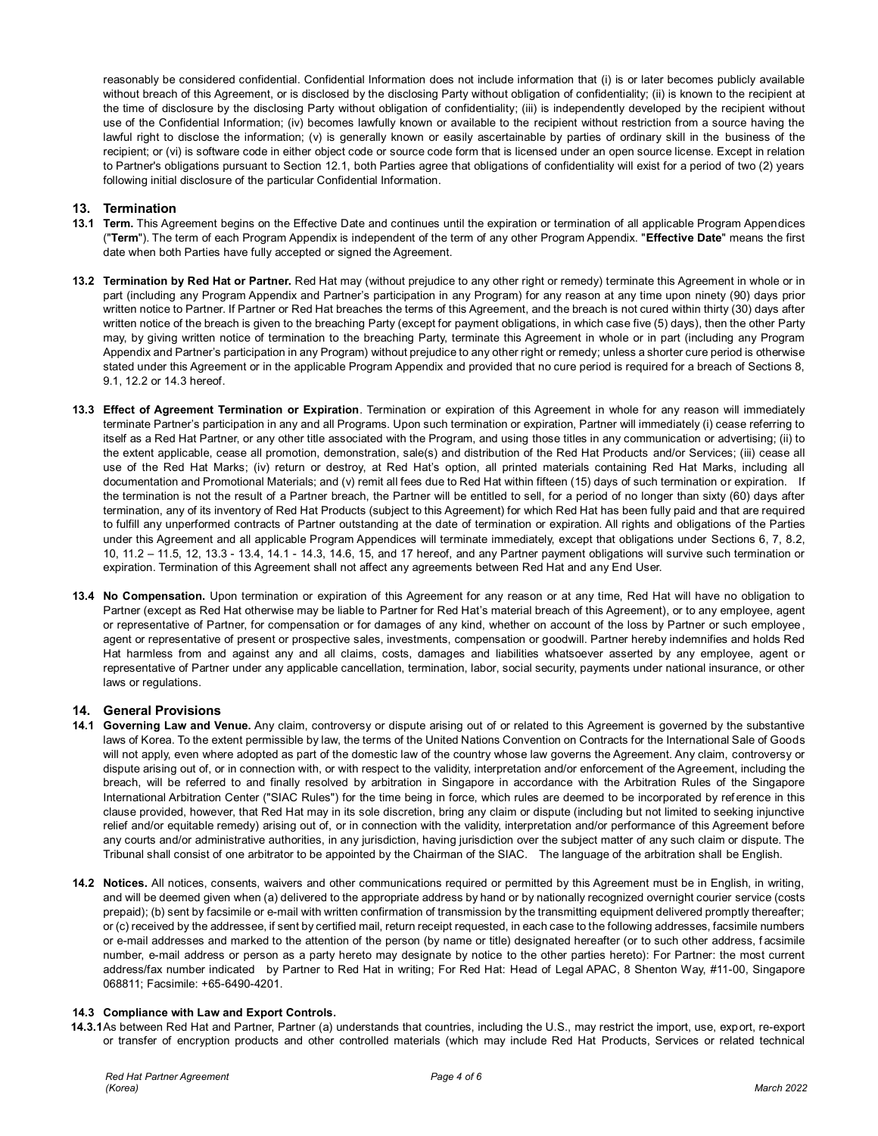reasonably be considered confidential. Confidential Information does not include information that (i) is or later becomes publicly available without breach of this Agreement, or is disclosed by the disclosing Party without obligation of confidentiality; (ii) is known to the recipient at the time of disclosure by the disclosing Party without obligation of confidentiality; (iii) is independently developed by the recipient without use of the Confidential Information; (iv) becomes lawfully known or available to the recipient without restriction from a source having the lawful right to disclose the information; (v) is generally known or easily ascertainable by parties of ordinary skill in the business of the recipient; or (vi) is software code in either object code or source code form that is licensed under an open source license. Except in relation to Partner's obligations pursuant to Section 12.1, both Parties agree that obligations of confidentiality will exist for a period of two (2) years following initial disclosure of the particular Confidential Information.

# **13. Termination**

- **13.1 Term.** This Agreement begins on the Effective Date and continues until the expiration or termination of all applicable Program Appendices ("**Term**"). The term of each Program Appendix is independent of the term of any other Program Appendix. "**Effective Date**" means the first date when both Parties have fully accepted or signed the Agreement.
- **13.2 Termination by Red Hat or Partner.** Red Hat may (without prejudice to any other right or remedy) terminate this Agreement in whole or in part (including any Program Appendix and Partner's participation in any Program) for any reason at any time upon ninety (90) days prior written notice to Partner. If Partner or Red Hat breaches the terms of this Agreement, and the breach is not cured within thirty (30) days after written notice of the breach is given to the breaching Party (except for payment obligations, in which case five (5) days), then the other Party may, by giving written notice of termination to the breaching Party, terminate this Agreement in whole or in part (including any Program Appendix and Partner's participation in any Program) without prejudice to any other right or remedy; unless a shorter cure period is otherwise stated under this Agreement or in the applicable Program Appendix and provided that no cure period is required for a breach of Sections 8, 9.1, 12.2 or 14.3 hereof.
- **13.3 Effect of Agreement Termination or Expiration**. Termination or expiration of this Agreement in whole for any reason will immediately terminate Partner's participation in any and all Programs. Upon such termination or expiration, Partner will immediately (i) cease referring to itself as a Red Hat Partner, or any other title associated with the Program, and using those titles in any communication or advertising; (ii) to the extent applicable, cease all promotion, demonstration, sale(s) and distribution of the Red Hat Products and/or Services; (iii) cease all use of the Red Hat Marks; (iv) return or destroy, at Red Hat's option, all printed materials containing Red Hat Marks, including all documentation and Promotional Materials; and (v) remit all fees due to Red Hat within fifteen (15) days of such termination or expiration. If the termination is not the result of a Partner breach, the Partner will be entitled to sell, for a period of no longer than sixty (60) days after termination, any of its inventory of Red Hat Products (subject to this Agreement) for which Red Hat has been fully paid and that are required to fulfill any unperformed contracts of Partner outstanding at the date of termination or expiration. All rights and obligations of the Parties under this Agreement and all applicable Program Appendices will terminate immediately, except that obligations under Sections 6, 7, 8.2, 10, 11.2 – 11.5, 12, 13.3 - 13.4, 14.1 - 14.3, 14.6, 15, and 17 hereof, and any Partner payment obligations will survive such termination or expiration. Termination of this Agreement shall not affect any agreements between Red Hat and any End User.
- **13.4 No Compensation.** Upon termination or expiration of this Agreement for any reason or at any time, Red Hat will have no obligation to Partner (except as Red Hat otherwise may be liable to Partner for Red Hat's material breach of this Agreement), or to any employee, agent or representative of Partner, for compensation or for damages of any kind, whether on account of the loss by Partner or such employee, agent or representative of present or prospective sales, investments, compensation or goodwill. Partner hereby indemnifies and holds Red Hat harmless from and against any and all claims, costs, damages and liabilities whatsoever asserted by any employee, agent or representative of Partner under any applicable cancellation, termination, labor, social security, payments under national insurance, or other laws or regulations.

# **14. General Provisions**

- **14.1 Governing Law and Venue.** Any claim, controversy or dispute arising out of or related to this Agreement is governed by the substantive laws of Korea. To the extent permissible by law, the terms of the United Nations Convention on Contracts for the International Sale of Goods will not apply, even where adopted as part of the domestic law of the country whose law governs the Agreement. Any claim, controversy or dispute arising out of, or in connection with, or with respect to the validity, interpretation and/or enforcement of the Agreement, including the breach, will be referred to and finally resolved by arbitration in Singapore in accordance with the Arbitration Rules of the Singapore International Arbitration Center ("SIAC Rules") for the time being in force, which rules are deemed to be incorporated by reference in this clause provided, however, that Red Hat may in its sole discretion, bring any claim or dispute (including but not limited to seeking injunctive relief and/or equitable remedy) arising out of, or in connection with the validity, interpretation and/or performance of this Agreement before any courts and/or administrative authorities, in any jurisdiction, having jurisdiction over the subject matter of any such claim or dispute. The Tribunal shall consist of one arbitrator to be appointed by the Chairman of the SIAC. The language of the arbitration shall be English.
- **14.2 Notices.** All notices, consents, waivers and other communications required or permitted by this Agreement must be in English, in writing, and will be deemed given when (a) delivered to the appropriate address by hand or by nationally recognized overnight courier service (costs prepaid); (b) sent by facsimile or e-mail with written confirmation of transmission by the transmitting equipment delivered promptly thereafter; or (c) received by the addressee, if sent by certified mail, return receipt requested, in each case to the following addresses, facsimile numbers or e-mail addresses and marked to the attention of the person (by name or title) designated hereafter (or to such other address, f acsimile number, e-mail address or person as a party hereto may designate by notice to the other parties hereto): For Partner: the most current address/fax number indicated by Partner to Red Hat in writing; For Red Hat: Head of Legal APAC, 8 Shenton Way, #11-00, Singapore 068811; Facsimile: +65-6490-4201.

## **14.3 Compliance with Law and Export Controls.**

**14.3.1**As between Red Hat and Partner, Partner (a) understands that countries, including the U.S., may restrict the import, use, export, re-export or transfer of encryption products and other controlled materials (which may include Red Hat Products, Services or related technical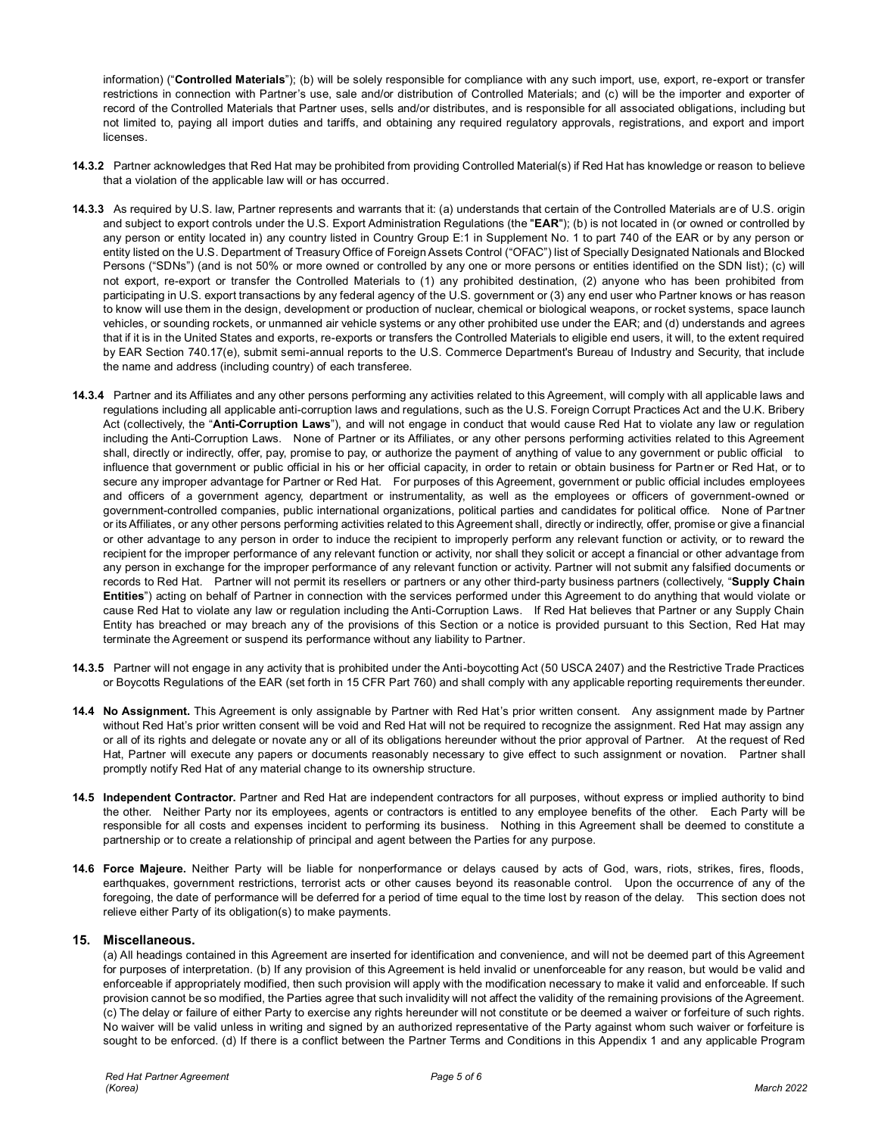information) ("**Controlled Materials**"); (b) will be solely responsible for compliance with any such import, use, export, re-export or transfer restrictions in connection with Partner's use, sale and/or distribution of Controlled Materials; and (c) will be the importer and exporter of record of the Controlled Materials that Partner uses, sells and/or distributes, and is responsible for all associated obligations, including but not limited to, paying all import duties and tariffs, and obtaining any required regulatory approvals, registrations, and export and import **licenses** 

- **14.3.2** Partner acknowledges that Red Hat may be prohibited from providing Controlled Material(s) if Red Hat has knowledge or reason to believe that a violation of the applicable law will or has occurred.
- **14.3.3** As required by U.S. law, Partner represents and warrants that it: (a) understands that certain of the Controlled Materials are of U.S. origin and subject to export controls under the U.S. Export Administration Regulations (the "**EAR**"); (b) is not located in (or owned or controlled by any person or entity located in) any country listed in Country Group E:1 in Supplement No. 1 to part 740 of the EAR or by any person or entity listed on the U.S. Department of Treasury Office of Foreign Assets Control ("OFAC") list of Specially Designated Nationals and Blocked Persons ("SDNs") (and is not 50% or more owned or controlled by any one or more persons or entities identified on the SDN list); (c) will not export, re-export or transfer the Controlled Materials to (1) any prohibited destination, (2) anyone who has been prohibited from participating in U.S. export transactions by any federal agency of the U.S. government or (3) any end user who Partner knows or has reason to know will use them in the design, development or production of nuclear, chemical or biological weapons, or rocket systems, space launch vehicles, or sounding rockets, or unmanned air vehicle systems or any other prohibited use under the EAR; and (d) understands and agrees that if it is in the United States and exports, re-exports or transfers the Controlled Materials to eligible end users, it will, to the extent required by EAR Section 740.17(e), submit semi-annual reports to the U.S. Commerce Department's Bureau of Industry and Security, that include the name and address (including country) of each transferee.
- **14.3.4** Partner and its Affiliates and any other persons performing any activities related to this Agreement, will comply with all applicable laws and regulations including all applicable anti-corruption laws and regulations, such as the U.S. Foreign Corrupt Practices Act and the U.K. Bribery Act (collectively, the "**Anti-Corruption Laws**"), and will not engage in conduct that would cause Red Hat to violate any law or regulation including the Anti-Corruption Laws. None of Partner or its Affiliates, or any other persons performing activities related to this Agreement shall, directly or indirectly, offer, pay, promise to pay, or authorize the payment of anything of value to any government or public official to influence that government or public official in his or her official capacity, in order to retain or obtain business for Partner or Red Hat, or to secure any improper advantage for Partner or Red Hat. For purposes of this Agreement, government or public official includes employees and officers of a government agency, department or instrumentality, as well as the employees or officers of government-owned or government-controlled companies, public international organizations, political parties and candidates for political office. None of Partner or its Affiliates, or any other persons performing activities related to this Agreement shall, directly or indirectly, offer, promise or give a financial or other advantage to any person in order to induce the recipient to improperly perform any relevant function or activity, or to reward the recipient for the improper performance of any relevant function or activity, nor shall they solicit or accept a financial or other advantage from any person in exchange for the improper performance of any relevant function or activity. Partner will not submit any falsified documents or records to Red Hat. Partner will not permit its resellers or partners or any other third-party business partners (collectively, "**Supply Chain Entities**") acting on behalf of Partner in connection with the services performed under this Agreement to do anything that would violate or cause Red Hat to violate any law or regulation including the Anti-Corruption Laws. If Red Hat believes that Partner or any Supply Chain Entity has breached or may breach any of the provisions of this Section or a notice is provided pursuant to this Section, Red Hat may terminate the Agreement or suspend its performance without any liability to Partner.
- **14.3.5** Partner will not engage in any activity that is prohibited under the Anti-boycotting Act (50 USCA 2407) and the Restrictive Trade Practices or Boycotts Regulations of the EAR (set forth in 15 CFR Part 760) and shall comply with any applicable reporting requirements thereunder.
- **14.4 No Assignment.** This Agreement is only assignable by Partner with Red Hat's prior written consent. Any assignment made by Partner without Red Hat's prior written consent will be void and Red Hat will not be required to recognize the assignment. Red Hat may assign any or all of its rights and delegate or novate any or all of its obligations hereunder without the prior approval of Partner. At the request of Red Hat, Partner will execute any papers or documents reasonably necessary to give effect to such assignment or novation. Partner shall promptly notify Red Hat of any material change to its ownership structure.
- **14.5 Independent Contractor.** Partner and Red Hat are independent contractors for all purposes, without express or implied authority to bind the other. Neither Party nor its employees, agents or contractors is entitled to any employee benefits of the other. Each Party will be responsible for all costs and expenses incident to performing its business. Nothing in this Agreement shall be deemed to constitute a partnership or to create a relationship of principal and agent between the Parties for any purpose.
- **14.6 Force Majeure.** Neither Party will be liable for nonperformance or delays caused by acts of God, wars, riots, strikes, fires, floods, earthquakes, government restrictions, terrorist acts or other causes beyond its reasonable control. Upon the occurrence of any of the foregoing, the date of performance will be deferred for a period of time equal to the time lost by reason of the delay. This section does not relieve either Party of its obligation(s) to make payments.

## **15. Miscellaneous.**

(a) All headings contained in this Agreement are inserted for identification and convenience, and will not be deemed part of this Agreement for purposes of interpretation. (b) If any provision of this Agreement is held invalid or unenforceable for any reason, but would be valid and enforceable if appropriately modified, then such provision will apply with the modification necessary to make it valid and enforceable. If such provision cannot be so modified, the Parties agree that such invalidity will not affect the validity of the remaining provisions of the Agreement. (c) The delay or failure of either Party to exercise any rights hereunder will not constitute or be deemed a waiver or forfeiture of such rights. No waiver will be valid unless in writing and signed by an authorized representative of the Party against whom such waiver or forfeiture is sought to be enforced. (d) If there is a conflict between the Partner Terms and Conditions in this Appendix 1 and any applicable Program